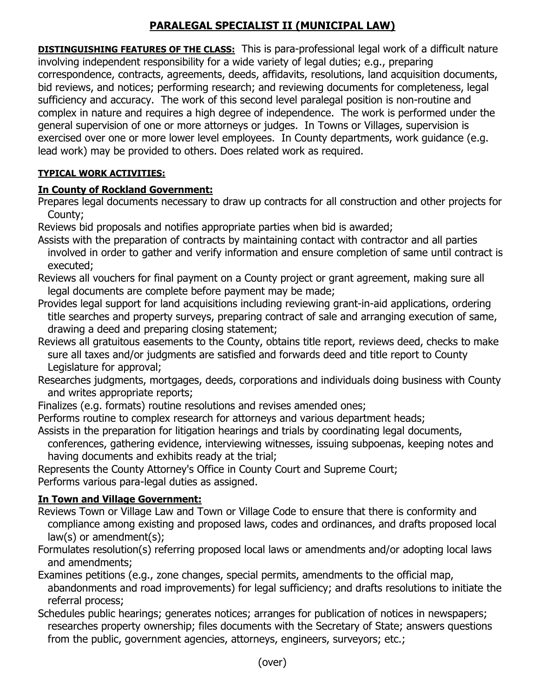# **PARALEGAL SPECIALIST II (MUNICIPAL LAW)**

**DISTINGUISHING FEATURES OF THE CLASS:** This is para-professional legal work of a difficult nature involving independent responsibility for a wide variety of legal duties; e.g., preparing correspondence, contracts, agreements, deeds, affidavits, resolutions, land acquisition documents, bid reviews, and notices; performing research; and reviewing documents for completeness, legal sufficiency and accuracy. The work of this second level paralegal position is non-routine and complex in nature and requires a high degree of independence. The work is performed under the general supervision of one or more attorneys or judges. In Towns or Villages, supervision is exercised over one or more lower level employees. In County departments, work guidance (e.g. lead work) may be provided to others. Does related work as required.

### **TYPICAL WORK ACTIVITIES:**

## **In County of Rockland Government:**

Prepares legal documents necessary to draw up contracts for all construction and other projects for County;

Reviews bid proposals and notifies appropriate parties when bid is awarded;

- Assists with the preparation of contracts by maintaining contact with contractor and all parties involved in order to gather and verify information and ensure completion of same until contract is executed;
- Reviews all vouchers for final payment on a County project or grant agreement, making sure all legal documents are complete before payment may be made;
- Provides legal support for land acquisitions including reviewing grant-in-aid applications, ordering title searches and property surveys, preparing contract of sale and arranging execution of same, drawing a deed and preparing closing statement;
- Reviews all gratuitous easements to the County, obtains title report, reviews deed, checks to make sure all taxes and/or judgments are satisfied and forwards deed and title report to County Legislature for approval;
- Researches judgments, mortgages, deeds, corporations and individuals doing business with County and writes appropriate reports;
- Finalizes (e.g. formats) routine resolutions and revises amended ones;

Performs routine to complex research for attorneys and various department heads;

Assists in the preparation for litigation hearings and trials by coordinating legal documents, conferences, gathering evidence, interviewing witnesses, issuing subpoenas, keeping notes and having documents and exhibits ready at the trial;

Represents the County Attorney's Office in County Court and Supreme Court; Performs various para-legal duties as assigned.

## **In Town and Village Government:**

- Reviews Town or Village Law and Town or Village Code to ensure that there is conformity and compliance among existing and proposed laws, codes and ordinances, and drafts proposed local law(s) or amendment(s);
- Formulates resolution(s) referring proposed local laws or amendments and/or adopting local laws and amendments;
- Examines petitions (e.g., zone changes, special permits, amendments to the official map, abandonments and road improvements) for legal sufficiency; and drafts resolutions to initiate the referral process;
- Schedules public hearings; generates notices; arranges for publication of notices in newspapers; researches property ownership; files documents with the Secretary of State; answers questions from the public, government agencies, attorneys, engineers, surveyors; etc.;